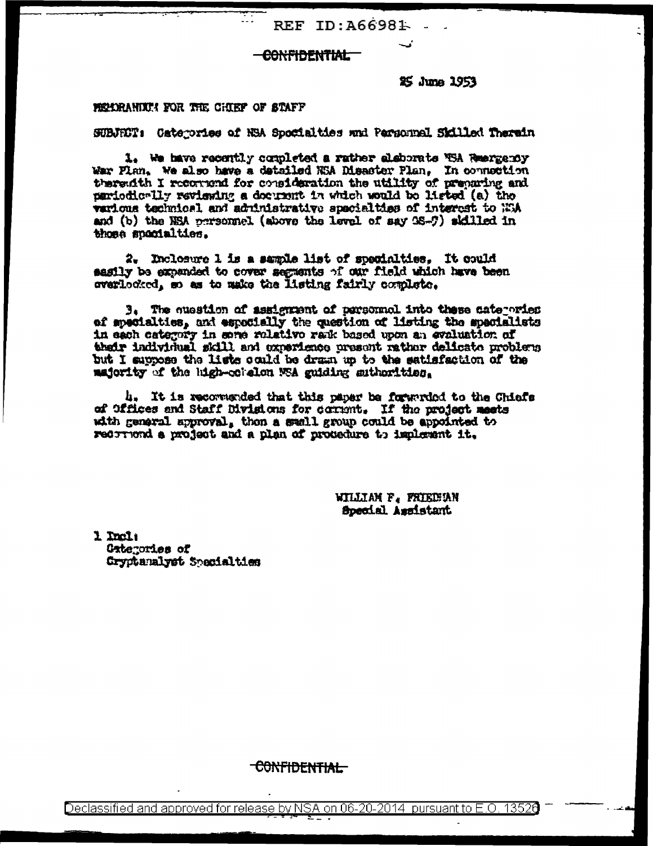REF ID:A66981

### -CONFIDENTIAL

25 June 1953

### MEMORANIKA FOR THE CHIEF OF STAFF

SUBJECT: Caterories of NSA Spotialties and Parsonnal Skilled Therein

1. We have recently completed a rather eleborate MSA Reenzemby War Flan. We also have a detailed NSA Disaster Plan. In connection therendth I reconnend for consideration the utility of preparing and pariodic-lly reviening a document in which would be listed (a) the warious technical and administrative specialities of interest to NGA and (b) the NSA personnel (above the level of say 98-9) skilled in those spooialties.

2. Inclosure 1 is a sample list of specialties. It could sasily be expanded to cover segments of our field which have been overlocked, so as to make the listing fairly complete.

3. The question of assignment of parsonnol into these categories of specialties, and especially the question of listing the specialists in each category in anne relative rank based upon an evaluation of their individual skill and experience present rather delicate problems but I suppose the lists could be dram up to the satisfaction of the majority of the high-colaion NSA guiding authorities.

4. It is recommended that this paper be forwarded to the Chiefs of Offices and Staff Divisions for corrent. If the project meets with general approval, then a swall group could be appointed to recorrend a project and a plan of protecture to implement it.

> WILLIAM F. FRIEDBAN Special Assistant

1 Incl: Gategories of Gryptamalvet Soncialties

<del>CONFIDENTIAL</del>

Declassified and approved for release by NSA on 06-20-2014 pursuant to E.O. 13526